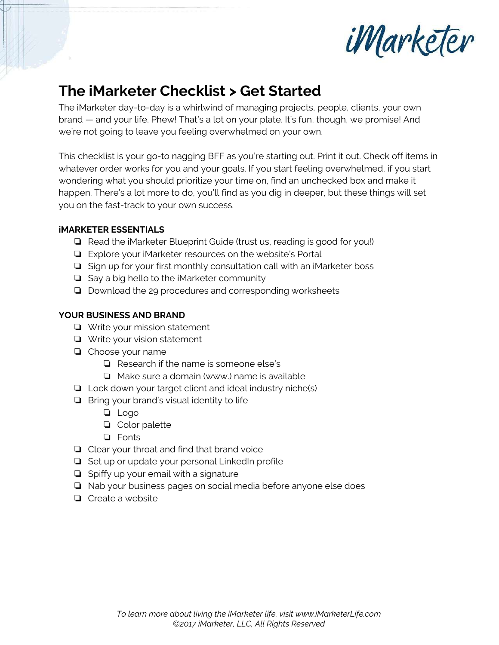

# **The iMarketer Checklist > Get Started**

The iMarketer day-to-day is a whirlwind of managing projects, people, clients, your own brand — and your life. Phew! That's a lot on your plate. It's fun, though, we promise! And we're not going to leave you feeling overwhelmed on your own.

This checklist is your go-to nagging BFF as you're starting out. Print it out. Check off items in whatever order works for you and your goals. If you start feeling overwhelmed, if you start wondering what you should prioritize your time on, find an unchecked box and make it happen. There's a lot more to do, you'll find as you dig in deeper, but these things will set you on the fast-track to your own success.

### **iMARKETER ESSENTIALS**

- ❏ Read the iMarketer Blueprint Guide (trust us, reading is good for you!)
- ❏ Explore your iMarketer resources on the website's Portal
- ❏ Sign up for your first monthly consultation call with an iMarketer boss
- ❏ Say a big hello to the iMarketer community
- ❏ Download the 29 procedures and corresponding worksheets

### **YOUR BUSINESS AND BRAND**

- ❏ Write your mission statement
- ❏ Write your vision statement
- ❏ Choose your name
	- ❏ Research if the name is someone else's
	- ❏ Make sure a domain (www.) name is available
- ❏ Lock down your target client and ideal industry niche(s)
- ❏ Bring your brand's visual identity to life
	- ❏ Logo
	- ❏ Color palette
	- ❏ Fonts
- ❏ Clear your throat and find that brand voice
- ❏ Set up or update your personal LinkedIn profile
- ❏ Spiffy up your email with a signature
- ❏ Nab your business pages on social media before anyone else does
- ❏ Create a website